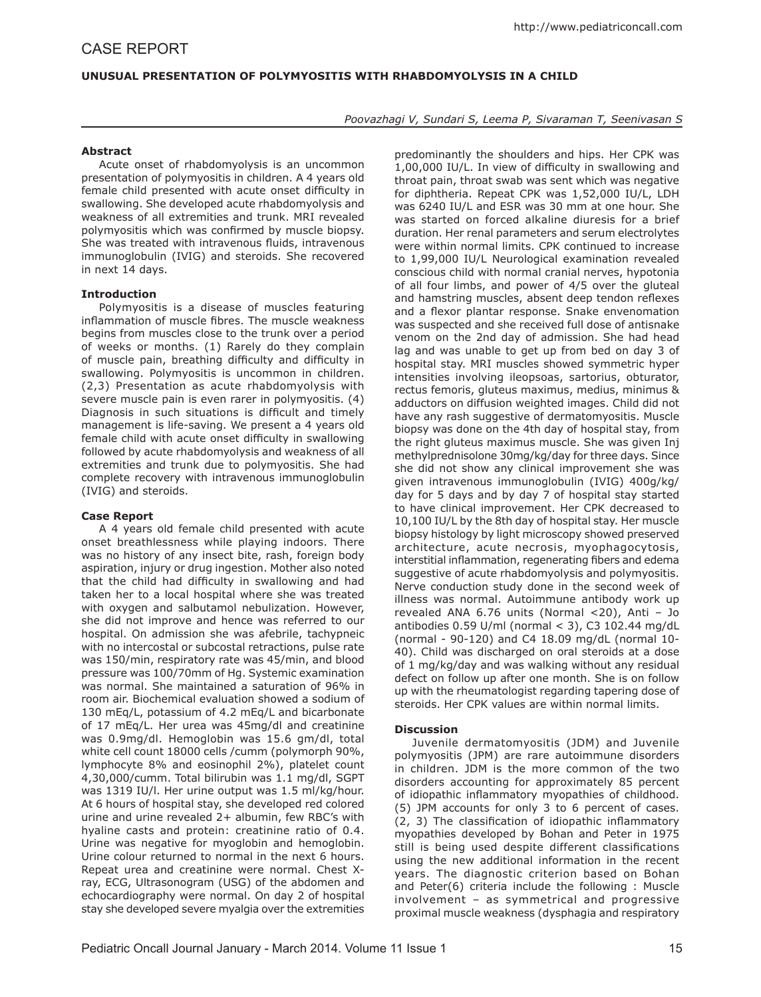# **UNUSUAL PRESENTATION OF POLYMYOSITIS WITH RHABDOMYOLYSIS IN A CHILD**

*Poovazhagi V, Sundari S, Leema P, Sivaraman T, Seenivasan S*

## **Abstract**

Acute onset of rhabdomyolysis is an uncommon presentation of polymyositis in children. A 4 years old female child presented with acute onset difficulty in swallowing. She developed acute rhabdomyolysis and weakness of all extremities and trunk. MRI revealed polymyositis which was confirmed by muscle biopsy. She was treated with intravenous fluids, intravenous immunoglobulin (IVIG) and steroids. She recovered in next 14 days.

## **Introduction**

Polymyositis is a disease of muscles featuring inflammation of muscle fibres. The muscle weakness begins from muscles close to the trunk over a period of weeks or months. (1) Rarely do they complain of muscle pain, breathing difficulty and difficulty in swallowing. Polymyositis is uncommon in children. (2,3) Presentation as acute rhabdomyolysis with severe muscle pain is even rarer in polymyositis. (4) Diagnosis in such situations is difficult and timely management is life-saving. We present a 4 years old female child with acute onset difficulty in swallowing followed by acute rhabdomyolysis and weakness of all extremities and trunk due to polymyositis. She had complete recovery with intravenous immunoglobulin (IVIG) and steroids.

## **Case Report**

A 4 years old female child presented with acute onset breathlessness while playing indoors. There was no history of any insect bite, rash, foreign body aspiration, injury or drug ingestion. Mother also noted that the child had difficulty in swallowing and had taken her to a local hospital where she was treated with oxygen and salbutamol nebulization. However, she did not improve and hence was referred to our hospital. On admission she was afebrile, tachypneic with no intercostal or subcostal retractions, pulse rate was 150/min, respiratory rate was 45/min, and blood pressure was 100/70mm of Hg. Systemic examination was normal. She maintained a saturation of 96% in room air. Biochemical evaluation showed a sodium of 130 mEq/L, potassium of 4.2 mEq/L and bicarbonate of 17 mEq/L. Her urea was 45mg/dl and creatinine was 0.9mg/dl. Hemoglobin was 15.6 gm/dl, total white cell count 18000 cells /cumm (polymorph 90%, lymphocyte 8% and eosinophil 2%), platelet count 4,30,000/cumm. Total bilirubin was 1.1 mg/dl, SGPT was 1319 IU/l. Her urine output was 1.5 ml/kg/hour. At 6 hours of hospital stay, she developed red colored urine and urine revealed 2+ albumin, few RBC's with hyaline casts and protein: creatinine ratio of 0.4. Urine was negative for myoglobin and hemoglobin. Urine colour returned to normal in the next 6 hours. Repeat urea and creatinine were normal. Chest Xray, ECG, Ultrasonogram (USG) of the abdomen and echocardiography were normal. On day 2 of hospital stay she developed severe myalgia over the extremities

predominantly the shoulders and hips. Her CPK was 1,00,000 IU/L. In view of difficulty in swallowing and throat pain, throat swab was sent which was negative for diphtheria. Repeat CPK was 1,52,000 IU/L, LDH was 6240 IU/L and ESR was 30 mm at one hour. She was started on forced alkaline diuresis for a brief duration. Her renal parameters and serum electrolytes were within normal limits. CPK continued to increase to 1,99,000 IU/L Neurological examination revealed conscious child with normal cranial nerves, hypotonia of all four limbs, and power of 4/5 over the gluteal and hamstring muscles, absent deep tendon reflexes and a flexor plantar response. Snake envenomation was suspected and she received full dose of antisnake venom on the 2nd day of admission. She had head lag and was unable to get up from bed on day 3 of hospital stay. MRI muscles showed symmetric hyper intensities involving ileopsoas, sartorius, obturator, rectus femoris, gluteus maximus, medius, minimus & adductors on diffusion weighted images. Child did not have any rash suggestive of dermatomyositis. Muscle biopsy was done on the 4th day of hospital stay, from the right gluteus maximus muscle. She was given Inj methylprednisolone 30mg/kg/day for three days. Since she did not show any clinical improvement she was given intravenous immunoglobulin (IVIG) 400g/kg/ day for 5 days and by day 7 of hospital stay started to have clinical improvement. Her CPK decreased to 10,100 IU/L by the 8th day of hospital stay. Her muscle biopsy histology by light microscopy showed preserved architecture, acute necrosis, myophagocytosis, interstitial inflammation, regenerating fibers and edema suggestive of acute rhabdomyolysis and polymyositis. Nerve conduction study done in the second week of illness was normal. Autoimmune antibody work up revealed ANA 6.76 units (Normal <20), Anti – Jo antibodies  $0.59$  U/ml (normal < 3), C3 102.44 mg/dL (normal - 90-120) and C4 18.09 mg/dL (normal 10- 40). Child was discharged on oral steroids at a dose of 1 mg/kg/day and was walking without any residual defect on follow up after one month. She is on follow up with the rheumatologist regarding tapering dose of steroids. Her CPK values are within normal limits.

## **Discussion**

Juvenile dermatomyositis (JDM) and Juvenile polymyositis (JPM) are rare autoimmune disorders in children. JDM is the more common of the two disorders accounting for approximately 85 percent of idiopathic inflammatory myopathies of childhood. (5) JPM accounts for only 3 to 6 percent of cases. (2, 3) The classification of idiopathic inflammatory myopathies developed by Bohan and Peter in 1975 still is being used despite different classifications using the new additional information in the recent years. The diagnostic criterion based on Bohan and Peter(6) criteria include the following : Muscle involvement – as symmetrical and progressive proximal muscle weakness (dysphagia and respiratory